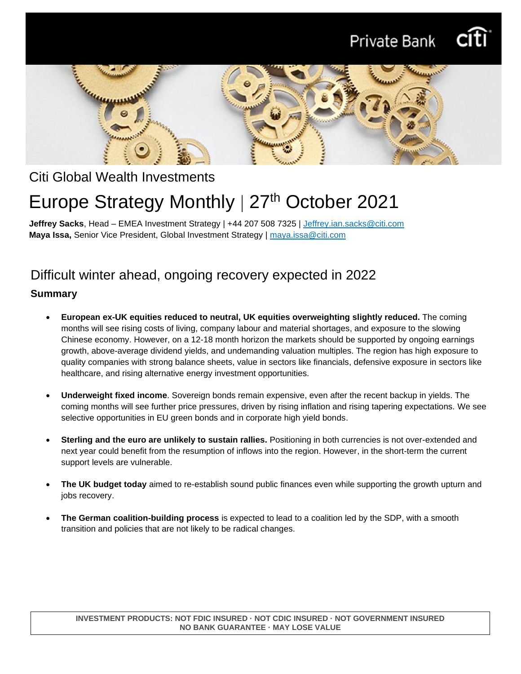



# Citi Global Wealth Investments

# Europe Strategy Monthly | 27<sup>th</sup> October 2021

**Jeffrey Sacks**, Head – EMEA Investment Strategy | +44 207 508 7325 | [Jeffrey.ian.sacks@citi.com](mailto:Jeffrey.ian.sacks@citi.com) **Maya Issa,** Senior Vice President, Global Investment Strategy | maya.issa@citi.com

# Difficult winter ahead, ongoing recovery expected in 2022

### **Summary**

- **European ex-UK equities reduced to neutral, UK equities overweighting slightly reduced.** The coming months will see rising costs of living, company labour and material shortages, and exposure to the slowing Chinese economy. However, on a 12-18 month horizon the markets should be supported by ongoing earnings growth, above-average dividend yields, and undemanding valuation multiples. The region has high exposure to quality companies with strong balance sheets, value in sectors like financials, defensive exposure in sectors like healthcare, and rising alternative energy investment opportunities.
- **Underweight fixed income**. Sovereign bonds remain expensive, even after the recent backup in yields. The coming months will see further price pressures, driven by rising inflation and rising tapering expectations. We see selective opportunities in EU green bonds and in corporate high yield bonds.
- **Sterling and the euro are unlikely to sustain rallies.** Positioning in both currencies is not over-extended and next year could benefit from the resumption of inflows into the region. However, in the short-term the current support levels are vulnerable.
- **The UK budget today** aimed to re-establish sound public finances even while supporting the growth upturn and jobs recovery.
- **The German coalition-building process** is expected to lead to a coalition led by the SDP, with a smooth transition and policies that are not likely to be radical changes.

**INVESTMENT PRODUCTS: NOT FDIC INSURED · NOT CDIC INSURED · NOT GOVERNMENT INSURED NO BANK GUARANTEE · MAY LOSE VALUE**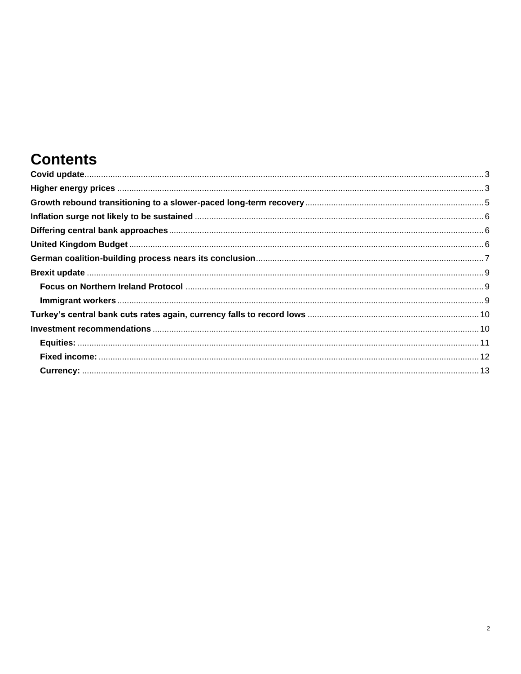# **Contents**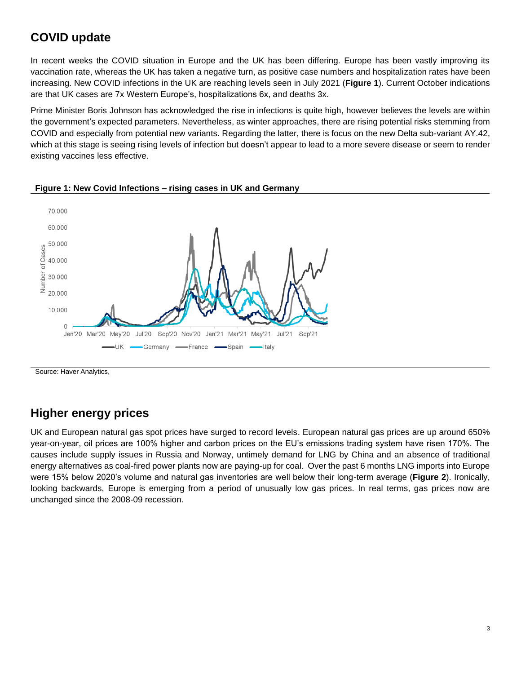# <span id="page-2-0"></span>**COVID update**

In recent weeks the COVID situation in Europe and the UK has been differing. Europe has been vastly improving its vaccination rate, whereas the UK has taken a negative turn, as positive case numbers and hospitalization rates have been increasing. New COVID infections in the UK are reaching levels seen in July 2021 (**Figure 1**). Current October indications are that UK cases are 7x Western Europe's, hospitalizations 6x, and deaths 3x.

Prime Minister Boris Johnson has acknowledged the rise in infections is quite high, however believes the levels are within the government's expected parameters. Nevertheless, as winter approaches, there are rising potential risks stemming from COVID and especially from potential new variants. Regarding the latter, there is focus on the new Delta sub-variant AY.42, which at this stage is seeing rising levels of infection but doesn't appear to lead to a more severe disease or seem to render existing vaccines less effective.



#### **Figure 1: New Covid Infections – rising cases in UK and Germany**

Source: Haver Analytics,

# <span id="page-2-1"></span>**Higher energy prices**

UK and European natural gas spot prices have surged to record levels. European natural gas prices are up around 650% year-on-year, oil prices are 100% higher and carbon prices on the EU's emissions trading system have risen 170%. The causes include supply issues in Russia and Norway, untimely demand for LNG by China and an absence of traditional energy alternatives as coal-fired power plants now are paying-up for coal. Over the past 6 months LNG imports into Europe were 15% below 2020's volume and natural gas inventories are well below their long-term average (**Figure 2**). Ironically, looking backwards, Europe is emerging from a period of unusually low gas prices. In real terms, gas prices now are unchanged since the 2008-09 recession.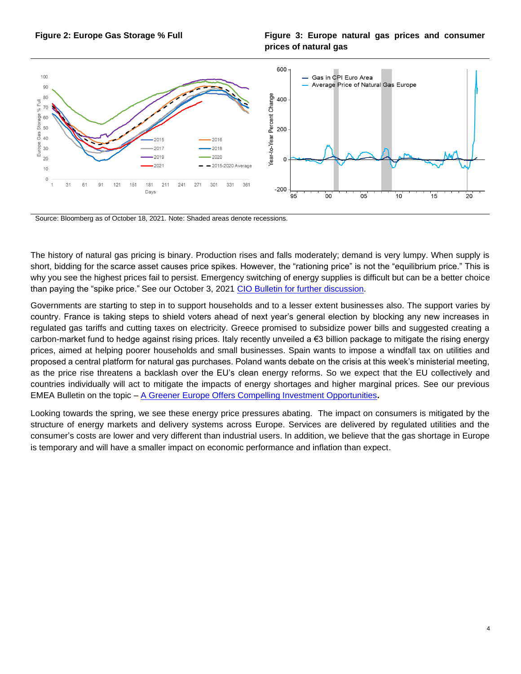

#### **Figure 2: Europe Gas Storage % Full Figure 3: Europe natural gas prices and consumer prices of natural gas**



Source: Bloomberg as of October 18, 2021. Note: Shaded areas denote recessions.

The history of natural gas pricing is binary. Production rises and falls moderately; demand is very lumpy. When supply is short, bidding for the scarce asset causes price spikes. However, the "rationing price" is not the "equilibrium price." This is why you see the highest prices fail to persist. Emergency switching of energy supplies is difficult but can be a better choice than paying the "spike price." See our October 3, 2021 [CIO Bulletin for further discussion.](https://www.privatebank.citibank.com/ivc/docs/quadrant/CIOBulletin100321Final.pdf)

Governments are starting to step in to support households and to a lesser extent businesses also. The support varies by country. France is taking steps to shield voters ahead of next year's general election by blocking any new increases in regulated gas tariffs and cutting taxes on electricity. Greece promised to subsidize power bills and suggested creating a carbon-market fund to hedge against rising prices. Italy recently unveiled a €3 billion package to mitigate the rising energy prices, aimed at helping poorer households and small businesses. Spain wants to impose a windfall tax on utilities and proposed a central platform for natural gas purchases. Poland wants debate on the crisis at this week's ministerial meeting, as the price rise threatens a backlash over the EU's clean energy reforms. So we expect that the EU collectively and countries individually will act to mitigate the impacts of energy shortages and higher marginal prices. See our previous EMEA Bulletin on the topic – [A Greener Europe Offers Compelling Investment Opportunities](https://www.privatebank.citibank.com/ivc/docs/quadrant/EuropeStrategy_092120.pdf)**.**

Looking towards the spring, we see these energy price pressures abating. The impact on consumers is mitigated by the structure of energy markets and delivery systems across Europe. Services are delivered by regulated utilities and the consumer's costs are lower and very different than industrial users. In addition, we believe that the gas shortage in Europe is temporary and will have a smaller impact on economic performance and inflation than expect.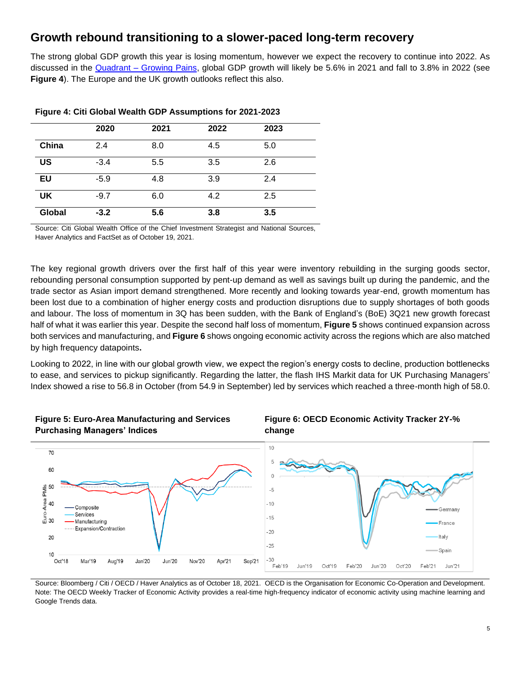# <span id="page-4-0"></span>**Growth rebound transitioning to a slower-paced long-term recovery**

The strong global GDP growth this year is losing momentum, however we expect the recovery to continue into 2022. As discussed in the Quadrant – [Growing Pains,](https://www.privatebank.citibank.com/ivc/docs/quadrant/Quadrant_October2021_final2.pdf) global GDP growth will likely be 5.6% in 2021 and fall to 3.8% in 2022 (see **Figure 4**). The Europe and the UK growth outlooks reflect this also.

|           | 2020   | 2021 | 2022 | 2023 |  |
|-----------|--------|------|------|------|--|
| China     | 2.4    | 8.0  | 4.5  | 5.0  |  |
| US        | $-3.4$ | 5.5  | 3.5  | 2.6  |  |
| <b>EU</b> | $-5.9$ | 4.8  | 3.9  | 2.4  |  |
| UK        | $-9.7$ | 6.0  | 4.2  | 2.5  |  |
| Global    | $-3.2$ | 5.6  | 3.8  | 3.5  |  |

Source: Citi Global Wealth Office of the Chief Investment Strategist and National Sources, Haver Analytics and FactSet as of October 19, 2021.

The key regional growth drivers over the first half of this year were inventory rebuilding in the surging goods sector, rebounding personal consumption supported by pent-up demand as well as savings built up during the pandemic, and the trade sector as Asian import demand strengthened. More recently and looking towards year-end, growth momentum has been lost due to a combination of higher energy costs and production disruptions due to supply shortages of both goods and labour. The loss of momentum in 3Q has been sudden, with the Bank of England's (BoE) 3Q21 new growth forecast half of what it was earlier this year. Despite the second half loss of momentum, **Figure 5** shows continued expansion across both services and manufacturing, and **Figure 6** shows ongoing economic activity across the regions which are also matched by high frequency datapoints**.**

Looking to 2022, in line with our global growth view, we expect the region's energy costs to decline, production bottlenecks to ease, and services to pickup significantly. Regarding the latter, the flash IHS Markit data for UK Purchasing Managers' Index showed a rise to 56.8 in October (from 54.9 in September) led by services which reached a three-month high of 58.0.







Source: Bloomberg / Citi / OECD / Haver Analytics as of October 18, 2021. OECD is the Organisation for Economic Co-Operation and Development. Note: The OECD Weekly Tracker of Economic Activity provides a real-time high-frequency indicator of economic activity using machine learning and Google Trends data.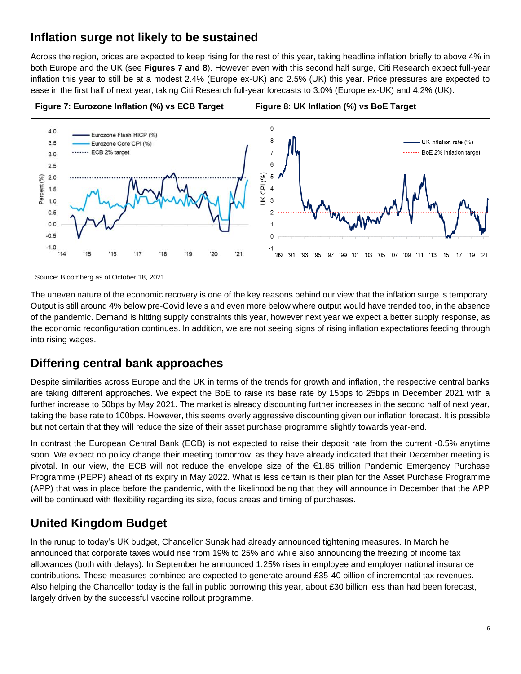# <span id="page-5-0"></span>**Inflation surge not likely to be sustained**

Across the region, prices are expected to keep rising for the rest of this year, taking headline inflation briefly to above 4% in both Europe and the UK (see **Figures 7 and 8**). However even with this second half surge, Citi Research expect full-year inflation this year to still be at a modest 2.4% (Europe ex-UK) and 2.5% (UK) this year. Price pressures are expected to ease in the first half of next year, taking Citi Research full-year forecasts to 3.0% (Europe ex-UK) and 4.2% (UK).



Source: Bloomberg as of October 18, 2021.

The uneven nature of the economic recovery is one of the key reasons behind our view that the inflation surge is temporary. Output is still around 4% below pre-Covid levels and even more below where output would have trended too, in the absence of the pandemic. Demand is hitting supply constraints this year, however next year we expect a better supply response, as the economic reconfiguration continues. In addition, we are not seeing signs of rising inflation expectations feeding through into rising wages.

## <span id="page-5-1"></span>**Differing central bank approaches**

Despite similarities across Europe and the UK in terms of the trends for growth and inflation, the respective central banks are taking different approaches. We expect the BoE to raise its base rate by 15bps to 25bps in December 2021 with a further increase to 50bps by May 2021. The market is already discounting further increases in the second half of next year, taking the base rate to 100bps. However, this seems overly aggressive discounting given our inflation forecast. It is possible but not certain that they will reduce the size of their asset purchase programme slightly towards year-end.

In contrast the European Central Bank (ECB) is not expected to raise their deposit rate from the current -0.5% anytime soon. We expect no policy change their meeting tomorrow, as they have already indicated that their December meeting is pivotal. In our view, the ECB will not reduce the envelope size of the €1.85 trillion Pandemic Emergency Purchase Programme (PEPP) ahead of its expiry in May 2022. What is less certain is their plan for the Asset Purchase Programme (APP) that was in place before the pandemic, with the likelihood being that they will announce in December that the APP will be continued with flexibility regarding its size, focus areas and timing of purchases.

# <span id="page-5-2"></span>**United Kingdom Budget**

In the runup to today's UK budget, Chancellor Sunak had already announced tightening measures. In March he announced that corporate taxes would rise from 19% to 25% and while also announcing the freezing of income tax allowances (both with delays). In September he announced 1.25% rises in employee and employer national insurance contributions. These measures combined are expected to generate around £35-40 billion of incremental tax revenues. Also helping the Chancellor today is the fall in public borrowing this year, about £30 billion less than had been forecast, largely driven by the successful vaccine rollout programme.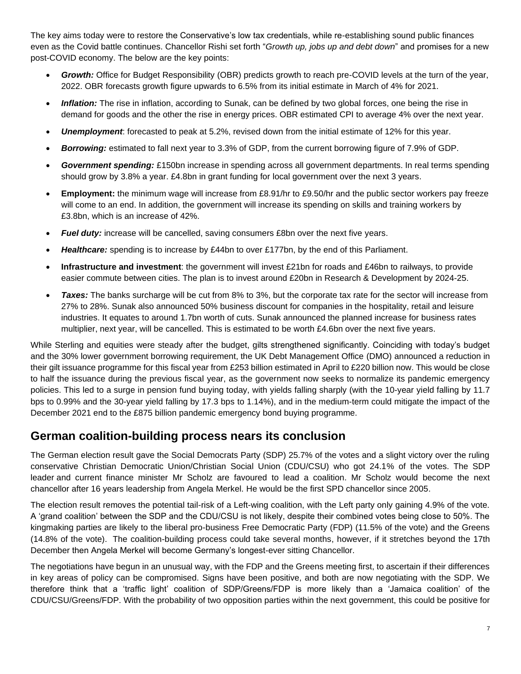The key aims today were to restore the Conservative's low tax credentials, while re-establishing sound public finances even as the Covid battle continues. Chancellor Rishi set forth "*Growth up, jobs up and debt down*" and promises for a new post-COVID economy. The below are the key points:

- *Growth:* Office for Budget Responsibility (OBR) predicts growth to reach pre-COVID levels at the turn of the year, 2022. OBR forecasts growth figure upwards to 6.5% from its initial estimate in March of 4% for 2021.
- *Inflation:* The rise in inflation, according to Sunak, can be defined by two global forces, one being the rise in demand for goods and the other the rise in energy prices. OBR estimated CPI to average 4% over the next year.
- *Unemployment*: forecasted to peak at 5.2%, revised down from the initial estimate of 12% for this year.
- *Borrowing:* estimated to fall next year to 3.3% of GDP, from the current borrowing figure of 7.9% of GDP.
- *Government spending:* £150bn increase in spending across all government departments. In real terms spending should grow by 3.8% a year. £4.8bn in grant funding for local government over the next 3 years.
- **Employment:** the minimum wage will increase from £8.91/hr to £9.50/hr and the public sector workers pay freeze will come to an end. In addition, the government will increase its spending on skills and training workers by £3.8bn, which is an increase of 42%.
- **Fuel duty:** increase will be cancelled, saving consumers £8bn over the next five years.
- **Healthcare:** spending is to increase by £44bn to over £177bn, by the end of this Parliament.
- **Infrastructure and investment**: the government will invest £21bn for roads and £46bn to railways, to provide easier commute between cities. The plan is to invest around £20bn in Research & Development by 2024-25.
- *Taxes:* The banks surcharge will be cut from 8% to 3%, but the corporate tax rate for the sector will increase from 27% to 28%. Sunak also announced 50% business discount for companies in the hospitality, retail and leisure industries. It equates to around 1.7bn worth of cuts. Sunak announced the planned increase for business rates multiplier, next year, will be cancelled. This is estimated to be worth £4.6bn over the next five years.

While Sterling and equities were steady after the budget, gilts strengthened significantly. Coinciding with today's budget and the 30% lower government borrowing requirement, the UK Debt Management Office (DMO) announced a reduction in their gilt issuance programme for this fiscal year from £253 billion estimated in April to £220 billion now. This would be close to half the issuance during the previous fiscal year, as the government now seeks to normalize its pandemic emergency policies. This led to a surge in pension fund buying today, with yields falling sharply (with the 10-year yield falling by 11.7 bps to 0.99% and the 30-year yield falling by 17.3 bps to 1.14%), and in the medium-term could mitigate the impact of the December 2021 end to the £875 billion pandemic emergency bond buying programme.

## <span id="page-6-0"></span>**German coalition-building process nears its conclusion**

The German election result gave the Social Democrats Party (SDP) 25.7% of the votes and a slight victory over the ruling conservative Christian Democratic Union/Christian Social Union (CDU/CSU) who got 24.1% of the votes. The SDP leader and current finance minister Mr Scholz are favoured to lead a coalition. Mr Scholz would become the next chancellor after 16 years leadership from Angela Merkel. He would be the first SPD chancellor since 2005.

The election result removes the potential tail-risk of a Left-wing coalition, with the Left party only gaining 4.9% of the vote. A 'grand coalition' between the SDP and the CDU/CSU is not likely, despite their combined votes being close to 50%. The kingmaking parties are likely to the liberal pro-business Free Democratic Party (FDP) (11.5% of the vote) and the Greens (14.8% of the vote). The coalition-building process could take several months, however, if it stretches beyond the 17th December then Angela Merkel will become Germany's longest-ever sitting Chancellor.

The negotiations have begun in an unusual way, with the FDP and the Greens meeting first, to ascertain if their differences in key areas of policy can be compromised. Signs have been positive, and both are now negotiating with the SDP. We therefore think that a 'traffic light' coalition of SDP/Greens/FDP is more likely than a 'Jamaica coalition' of the CDU/CSU/Greens/FDP. With the probability of two opposition parties within the next government, this could be positive for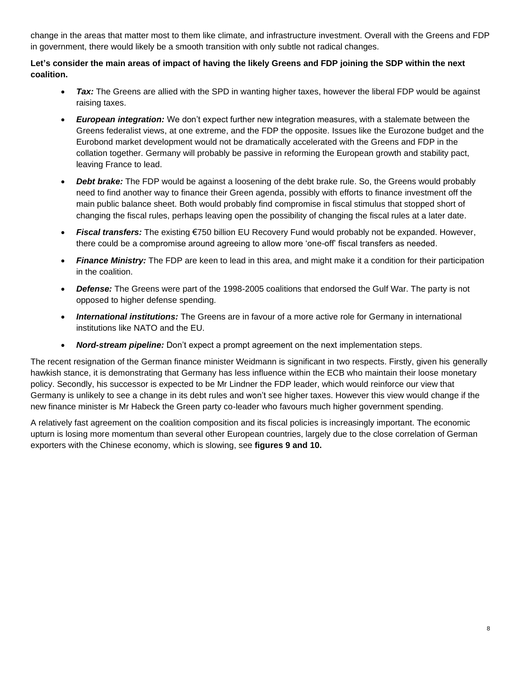change in the areas that matter most to them like climate, and infrastructure investment. Overall with the Greens and FDP in government, there would likely be a smooth transition with only subtle not radical changes.

#### **Let's consider the main areas of impact of having the likely Greens and FDP joining the SDP within the next coalition.**

- **Tax:** The Greens are allied with the SPD in wanting higher taxes, however the liberal FDP would be against raising taxes.
- *European integration:* We don't expect further new integration measures, with a stalemate between the Greens federalist views, at one extreme, and the FDP the opposite. Issues like the Eurozone budget and the Eurobond market development would not be dramatically accelerated with the Greens and FDP in the collation together. Germany will probably be passive in reforming the European growth and stability pact, leaving France to lead.
- *Debt brake:* The FDP would be against a loosening of the debt brake rule. So, the Greens would probably need to find another way to finance their Green agenda, possibly with efforts to finance investment off the main public balance sheet. Both would probably find compromise in fiscal stimulus that stopped short of changing the fiscal rules, perhaps leaving open the possibility of changing the fiscal rules at a later date.
- *Fiscal transfers:* The existing €750 billion EU Recovery Fund would probably not be expanded. However, there could be a compromise around agreeing to allow more 'one-off' fiscal transfers as needed.
- *Finance Ministry:* The FDP are keen to lead in this area, and might make it a condition for their participation in the coalition.
- *Defense:* The Greens were part of the 1998-2005 coalitions that endorsed the Gulf War. The party is not opposed to higher defense spending.
- *International institutions:* The Greens are in favour of a more active role for Germany in international institutions like NATO and the EU.
- *Nord-stream pipeline:* Don't expect a prompt agreement on the next implementation steps.

The recent resignation of the German finance minister Weidmann is significant in two respects. Firstly, given his generally hawkish stance, it is demonstrating that Germany has less influence within the ECB who maintain their loose monetary policy. Secondly, his successor is expected to be Mr Lindner the FDP leader, which would reinforce our view that Germany is unlikely to see a change in its debt rules and won't see higher taxes. However this view would change if the new finance minister is Mr Habeck the Green party co-leader who favours much higher government spending.

A relatively fast agreement on the coalition composition and its fiscal policies is increasingly important. The economic upturn is losing more momentum than several other European countries, largely due to the close correlation of German exporters with the Chinese economy, which is slowing, see **figures 9 and 10.**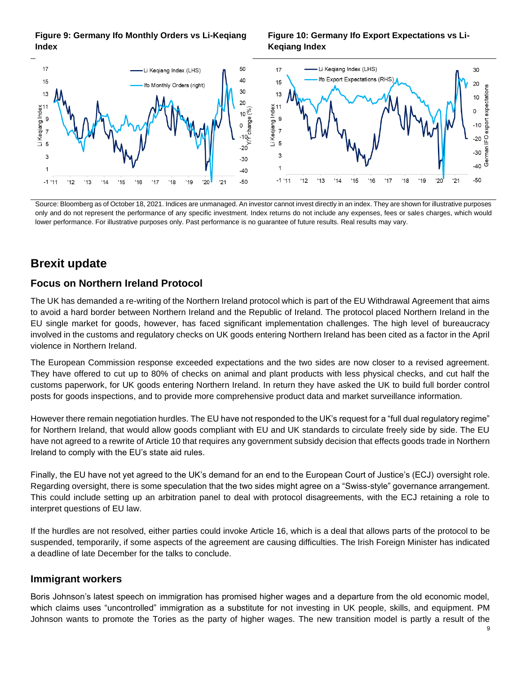

#### **Figure 10: Germany Ifo Export Expectations vs Li-Keqiang Index**



Source: Bloomberg as of October 18, 2021. Indices are unmanaged. An investor cannot invest directly in an index. They are shown for illustrative purposes only and do not represent the performance of any specific investment. Index returns do not include any expenses, fees or sales charges, which would lower performance. For illustrative purposes only. Past performance is no guarantee of future results. Real results may vary.

# <span id="page-8-0"></span>**Brexit update**

### <span id="page-8-1"></span>**Focus on Northern Ireland Protocol**

The UK has demanded a re-writing of the Northern Ireland protocol which is part of the EU Withdrawal Agreement that aims to avoid a hard border between Northern Ireland and the Republic of Ireland. The protocol placed Northern Ireland in the EU single market for goods, however, has faced significant implementation challenges. The high level of bureaucracy involved in the customs and regulatory checks on UK goods entering Northern Ireland has been cited as a factor in the April violence in Northern Ireland.

The European Commission response exceeded expectations and the two sides are now closer to a revised agreement. They have offered to cut up to 80% of checks on animal and plant products with less physical checks, and cut half the customs paperwork, for UK goods entering Northern Ireland. In return they have asked the UK to build full border control posts for goods inspections, and to provide more comprehensive product data and market surveillance information.

However there remain negotiation hurdles. The EU have not responded to the UK's request for a "full dual regulatory regime" for Northern Ireland, that would allow goods compliant with EU and UK standards to circulate freely side by side. The EU have not agreed to a rewrite of Article 10 that requires any government subsidy decision that effects goods trade in Northern Ireland to comply with the EU's state aid rules.

Finally, the EU have not yet agreed to the UK's demand for an end to the European Court of Justice's (ECJ) oversight role. Regarding oversight, there is some speculation that the two sides might agree on a "Swiss-style" governance arrangement. This could include setting up an arbitration panel to deal with protocol disagreements, with the ECJ retaining a role to interpret questions of EU law.

If the hurdles are not resolved, either parties could invoke Article 16, which is a deal that allows parts of the protocol to be suspended, temporarily, if some aspects of the agreement are causing difficulties. The Irish Foreign Minister has indicated a deadline of late December for the talks to conclude.

### <span id="page-8-2"></span>**Immigrant workers**

Boris Johnson's latest speech on immigration has promised higher wages and a departure from the old economic model, which claims uses "uncontrolled" immigration as a substitute for not investing in UK people, skills, and equipment. PM Johnson wants to promote the Tories as the party of higher wages. The new transition model is partly a result of the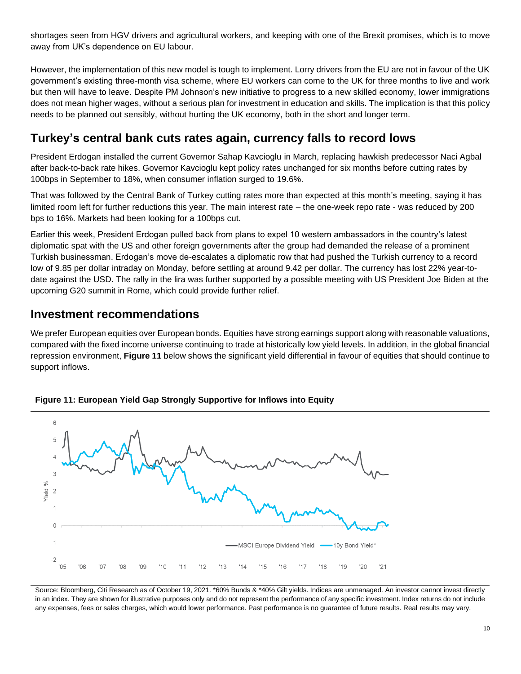shortages seen from HGV drivers and agricultural workers, and keeping with one of the Brexit promises, which is to move away from UK's dependence on EU labour.

However, the implementation of this new model is tough to implement. Lorry drivers from the EU are not in favour of the UK government's existing three-month visa scheme, where EU workers can come to the UK for three months to live and work but then will have to leave. Despite PM Johnson's new initiative to progress to a new skilled economy, lower immigrations does not mean higher wages, without a serious plan for investment in education and skills. The implication is that this policy needs to be planned out sensibly, without hurting the UK economy, both in the short and longer term.

## <span id="page-9-0"></span>**Turkey's central bank cuts rates again, currency falls to record lows**

President Erdogan installed the current Governor Sahap Kavcioglu in March, replacing hawkish predecessor Naci Agbal after back-to-back rate hikes. Governor Kavcioglu kept policy rates unchanged for six months before cutting rates by 100bps in September to 18%, when consumer inflation surged to 19.6%.

That was followed by the Central Bank of Turkey cutting rates more than expected at this month's meeting, saying it has limited room left for further reductions this year. The main interest rate – the one-week repo rate - was reduced by 200 bps to 16%. Markets had been looking for a 100bps cut.

Earlier this week, President Erdogan pulled back from plans to expel 10 western ambassadors in the country's latest diplomatic spat with the US and other foreign governments after the group had demanded the release of a prominent Turkish businessman. Erdogan's move de-escalates a diplomatic row that had pushed the Turkish currency to a record low of 9.85 per dollar intraday on Monday, before settling at around 9.42 per dollar. The currency has lost 22% year-todate against the USD. The rally in the lira was further supported by a possible meeting with US President Joe Biden at the upcoming G20 summit in Rome, which could provide further relief.

## <span id="page-9-1"></span>**Investment recommendations**

We prefer European equities over European bonds. Equities have strong earnings support along with reasonable valuations, compared with the fixed income universe continuing to trade at historically low yield levels. In addition, in the global financial repression environment, **Figure 11** below shows the significant yield differential in favour of equities that should continue to support inflows.





Source: Bloomberg, Citi Research as of October 19, 2021. \*60% Bunds & \*40% Gilt yields. Indices are unmanaged. An investor cannot invest directly in an index. They are shown for illustrative purposes only and do not represent the performance of any specific investment. Index returns do not include any expenses, fees or sales charges, which would lower performance. Past performance is no guarantee of future results. Real results may vary.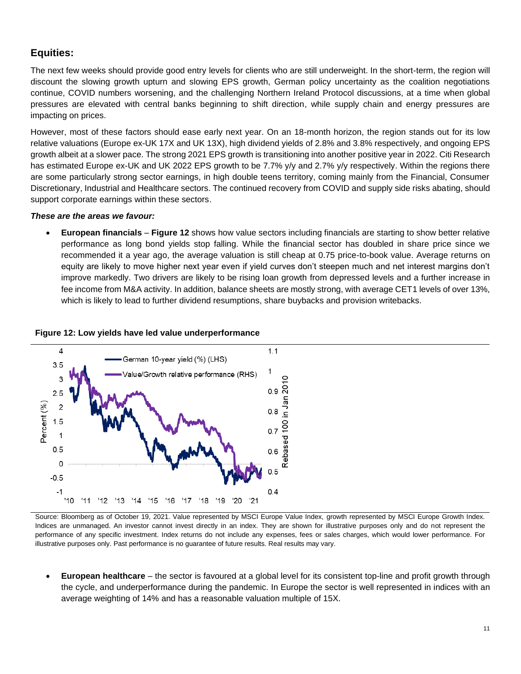### <span id="page-10-0"></span>**Equities:**

The next few weeks should provide good entry levels for clients who are still underweight. In the short-term, the region will discount the slowing growth upturn and slowing EPS growth, German policy uncertainty as the coalition negotiations continue, COVID numbers worsening, and the challenging Northern Ireland Protocol discussions, at a time when global pressures are elevated with central banks beginning to shift direction, while supply chain and energy pressures are impacting on prices.

However, most of these factors should ease early next year. On an 18-month horizon, the region stands out for its low relative valuations (Europe ex-UK 17X and UK 13X), high dividend yields of 2.8% and 3.8% respectively, and ongoing EPS growth albeit at a slower pace. The strong 2021 EPS growth is transitioning into another positive year in 2022. Citi Research has estimated Europe ex-UK and UK 2022 EPS growth to be 7.7% y/y and 2.7% y/y respectively. Within the regions there are some particularly strong sector earnings, in high double teens territory, coming mainly from the Financial, Consumer Discretionary, Industrial and Healthcare sectors. The continued recovery from COVID and supply side risks abating, should support corporate earnings within these sectors.

#### *These are the areas we favour:*

• **European financials** – **Figure 12** shows how value sectors including financials are starting to show better relative performance as long bond yields stop falling. While the financial sector has doubled in share price since we recommended it a year ago, the average valuation is still cheap at 0.75 price-to-book value. Average returns on equity are likely to move higher next year even if yield curves don't steepen much and net interest margins don't improve markedly. Two drivers are likely to be rising loan growth from depressed levels and a further increase in fee income from M&A activity. In addition, balance sheets are mostly strong, with average CET1 levels of over 13%, which is likely to lead to further dividend resumptions, share buybacks and provision writebacks.

#### **Figure 12: Low yields have led value underperformance**



Source: Bloomberg as of October 19, 2021. Value represented by MSCI Europe Value Index, growth represented by MSCI Europe Growth Index. Indices are unmanaged. An investor cannot invest directly in an index. They are shown for illustrative purposes only and do not represent the performance of any specific investment. Index returns do not include any expenses, fees or sales charges, which would lower performance. For illustrative purposes only. Past performance is no guarantee of future results. Real results may vary.

• **European healthcare** – the sector is favoured at a global level for its consistent top-line and profit growth through the cycle, and underperformance during the pandemic. In Europe the sector is well represented in indices with an average weighting of 14% and has a reasonable valuation multiple of 15X.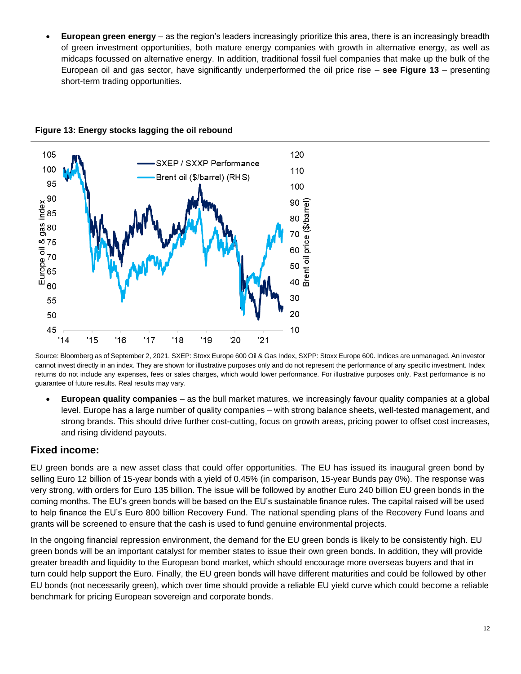• **European green energy** – as the region's leaders increasingly prioritize this area, there is an increasingly breadth of green investment opportunities, both mature energy companies with growth in alternative energy, as well as midcaps focussed on alternative energy. In addition, traditional fossil fuel companies that make up the bulk of the European oil and gas sector, have significantly underperformed the oil price rise – **see Figure 13** – presenting short-term trading opportunities.



**Figure 13: Energy stocks lagging the oil rebound**

Source: Bloomberg as of September 2, 2021. SXEP: Stoxx Europe 600 Oil & Gas Index, SXPP: Stoxx Europe 600. Indices are unmanaged. An investor cannot invest directly in an index. They are shown for illustrative purposes only and do not represent the performance of any specific investment. Index returns do not include any expenses, fees or sales charges, which would lower performance. For illustrative purposes only. Past performance is no guarantee of future results. Real results may vary.

• **European quality companies** – as the bull market matures, we increasingly favour quality companies at a global level. Europe has a large number of quality companies – with strong balance sheets, well-tested management, and strong brands. This should drive further cost-cutting, focus on growth areas, pricing power to offset cost increases, and rising dividend payouts.

### <span id="page-11-0"></span>**Fixed income:**

EU green bonds are a new asset class that could offer opportunities. The EU has issued its inaugural green bond by selling Euro 12 billion of 15-year bonds with a yield of 0.45% (in comparison, 15-year Bunds pay 0%). The response was very strong, with orders for Euro 135 billion. The issue will be followed by another Euro 240 billion EU green bonds in the coming months. The EU's green bonds will be based on the EU's sustainable finance rules. The capital raised will be used to help finance the EU's Euro 800 billion Recovery Fund. The national spending plans of the Recovery Fund loans and grants will be screened to ensure that the cash is used to fund genuine environmental projects.

In the ongoing financial repression environment, the demand for the EU green bonds is likely to be consistently high. EU green bonds will be an important catalyst for member states to issue their own green bonds. In addition, they will provide greater breadth and liquidity to the European bond market, which should encourage more overseas buyers and that in turn could help support the Euro. Finally, the EU green bonds will have different maturities and could be followed by other EU bonds (not necessarily green), which over time should provide a reliable EU yield curve which could become a reliable benchmark for pricing European sovereign and corporate bonds.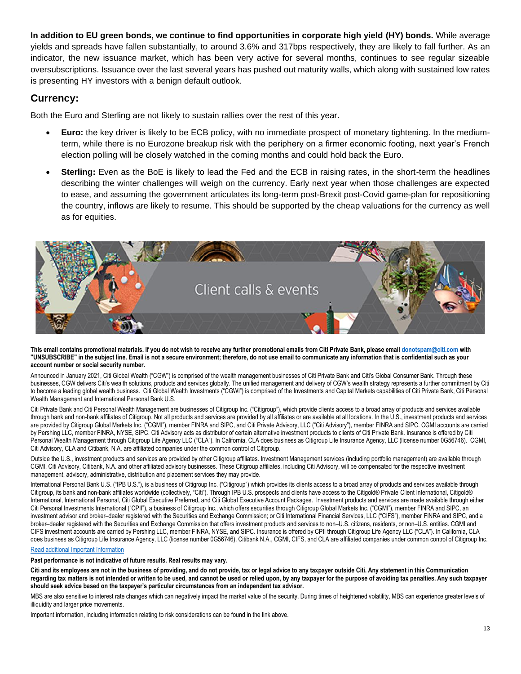**In addition to EU green bonds, we continue to find opportunities in corporate high yield (HY) bonds.** While average yields and spreads have fallen substantially, to around 3.6% and 317bps respectively, they are likely to fall further. As an indicator, the new issuance market, which has been very active for several months, continues to see regular sizeable oversubscriptions. Issuance over the last several years has pushed out maturity walls, which along with sustained low rates is presenting HY investors with a benign default outlook.

#### <span id="page-12-0"></span>**Currency:**

Both the Euro and Sterling are not likely to sustain rallies over the rest of this year.

- **Euro:** the key driver is likely to be ECB policy, with no immediate prospect of monetary tightening. In the mediumterm, while there is no Eurozone breakup risk with the periphery on a firmer economic footing, next year's French election polling will be closely watched in the coming months and could hold back the Euro.
- **Sterling:** Even as the BoE is likely to lead the Fed and the ECB in raising rates, in the short-term the headlines describing the winter challenges will weigh on the currency. Early next year when those challenges are expected to ease, and assuming the government articulates its long-term post-Brexit post-Covid game-plan for repositioning the country, inflows are likely to resume. This should be supported by the cheap valuations for the currency as well as for equities.



#### **This email contains promotional materials. If you do not wish to receive any further promotional emails from Citi Private Bank, please emai[l donotspam@citi.com](mailto:donotspam@citi.com) with "UNSUBSCRIBE" in the subject line. Email is not a secure environment; therefore, do not use email to communicate any information that is confidential such as your account number or social security number.**

Announced in January 2021, Citi Global Wealth ("CGW") is comprised of the wealth management businesses of Citi Private Bank and Citi's Global Consumer Bank. Through these businesses, CGW delivers Citi's wealth solutions, products and services globally. The unified management and delivery of CGW's wealth strategy represents a further commitment by Citi to become a leading global wealth business. Citi Global Wealth Investments ("CGWI") is comprised of the Investments and Capital Markets capabilities of Citi Private Bank, Citi Personal Wealth Management and International Personal Bank U.S.

Citi Private Bank and Citi Personal Wealth Management are businesses of Citigroup Inc. ("Citigroup"), which provide clients access to a broad array of products and services available through bank and non-bank affiliates of Citigroup. Not all products and services are provided by all affiliates or are available at all locations. In the U.S., investment products and services are provided by Citigroup Global Markets Inc. ("CGMI"), member FINRA and SIPC, and Citi Private Advisory, LLC ("Citi Advisory"), member FINRA and SIPC. CGMI accounts are carried by Pershing LLC, member FINRA, NYSE, SIPC. Citi Advisory acts as distributor of certain alternative investment products to clients of Citi Private Bank. Insurance is offered by Citi Personal Wealth Management through Citigroup Life Agency LLC ("CLA"). In California, CLA does business as Citigroup Life Insurance Agency, LLC (license number 0G56746). CGMI, Citi Advisory, CLA and Citibank, N.A. are affiliated companies under the common control of Citigroup.

Outside the U.S., investment products and services are provided by other Citigroup affiliates. Investment Management services (including portfolio management) are available through CGMI, Citi Advisory, Citibank, N.A. and other affiliated advisory businesses. These Citigroup affiliates, including Citi Advisory, will be compensated for the respective investment management, advisory, administrative, distribution and placement services they may provide.

International Personal Bank U.S. ("IPB U.S."), is a business of Citigroup Inc. ("Citigroup") which provides its clients access to a broad array of products and services available through Citigroup, its bank and non-bank affiliates worldwide (collectively, "Citi"). Through IPB U.S. prospects and clients have access to the Citigold® Private Client International, Citigold® International, International Personal, Citi Global Executive Preferred, and Citi Global Executive Account Packages. Investment products and services are made available through either Citi Personal Investments International ("CPII"), a business of Citigroup Inc., which offers securities through Citigroup Global Markets Inc. ("CGMI"), member FINRA and SIPC, an investment advisor and broker–dealer registered with the Securities and Exchange Commission; or Citi International Financial Services, LLC ("CIFS"), member FINRA and SIPC, and a broker–dealer registered with the Securities and Exchange Commission that offers investment products and services to non–U.S. citizens, residents, or non–U.S. entities. CGMI and CIFS investment accounts are carried by Pershing LLC, member FINRA, NYSE, and SIPC. Insurance is offered by CPII through Citigroup Life Agency LLC ("CLA"). In California, CLA does business as Citigroup Life Insurance Agency, LLC (license number 0G56746). Citibank N.A., CGMI, CIFS, and CLA are affiliated companies under common control of Citigroup Inc.

#### [Read additional Important Information](https://www.privatebank.citibank.com/important-disclosure)

**Past performance is not indicative of future results. Real results may vary.**

**Citi and its employees are not in the business of providing, and do not provide, tax or legal advice to any taxpayer outside Citi. Any statement in this Communication regarding tax matters is not intended or written to be used, and cannot be used or relied upon, by any taxpayer for the purpose of avoiding tax penalties. Any such taxpayer should seek advice based on the taxpayer's particular circumstances from an independent tax advisor.** 

MBS are also sensitive to interest rate changes which can negatively impact the market value of the security. During times of heightened volatility, MBS can experience greater levels of illiquidity and larger price movements.

Important information, including information relating to risk considerations can be found in the link above.